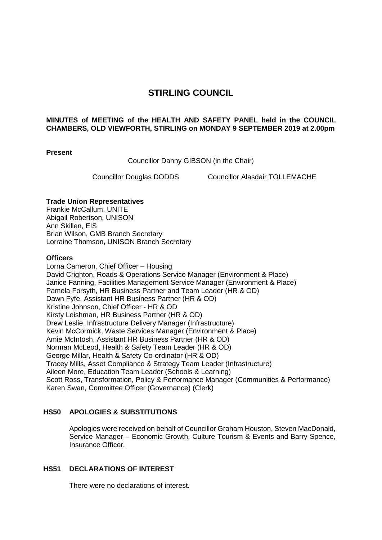# **STIRLING COUNCIL**

## **MINUTES of MEETING of the HEALTH AND SAFETY PANEL held in the COUNCIL CHAMBERS, OLD VIEWFORTH, STIRLING on MONDAY 9 SEPTEMBER 2019 at 2.00pm**

#### **Present**

Councillor Danny GIBSON (in the Chair)

Councillor Douglas DODDS Councillor Alasdair TOLLEMACHE

# **Trade Union Representatives**

Frankie McCallum, UNITE Abigail Robertson, UNISON Ann Skillen, EIS Brian Wilson, GMB Branch Secretary Lorraine Thomson, UNISON Branch Secretary

# **Officers**

Lorna Cameron, Chief Officer – Housing David Crighton, Roads & Operations Service Manager (Environment & Place) Janice Fanning, Facilities Management Service Manager (Environment & Place) Pamela Forsyth, HR Business Partner and Team Leader (HR & OD) Dawn Fyfe, Assistant HR Business Partner (HR & OD) Kristine Johnson, Chief Officer - HR & OD Kirsty Leishman, HR Business Partner (HR & OD) Drew Leslie, Infrastructure Delivery Manager (Infrastructure) Kevin McCormick, Waste Services Manager (Environment & Place) Amie McIntosh, Assistant HR Business Partner (HR & OD) Norman McLeod, Health & Safety Team Leader (HR & OD) George Millar, Health & Safety Co-ordinator (HR & OD) Tracey Mills, Asset Compliance & Strategy Team Leader (Infrastructure) Aileen More, Education Team Leader (Schools & Learning) Scott Ross, Transformation, Policy & Performance Manager (Communities & Performance) Karen Swan, Committee Officer (Governance) (Clerk)

# **HS50 APOLOGIES & SUBSTITUTIONS**

Apologies were received on behalf of Councillor Graham Houston, Steven MacDonald, Service Manager – Economic Growth, Culture Tourism & Events and Barry Spence, Insurance Officer.

# **HS51 DECLARATIONS OF INTEREST**

There were no declarations of interest.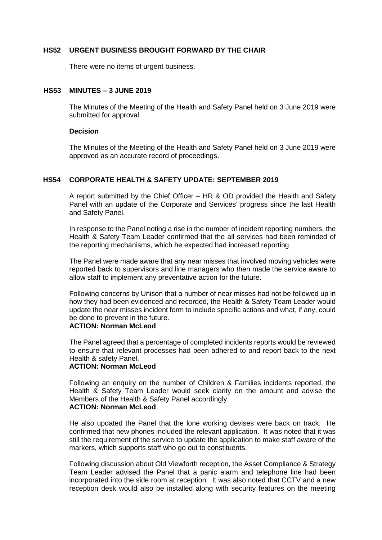#### **HS52 URGENT BUSINESS BROUGHT FORWARD BY THE CHAIR**

There were no items of urgent business.

## **HS53 MINUTES – 3 JUNE 2019**

The Minutes of the Meeting of the Health and Safety Panel held on 3 June 2019 were submitted for approval.

#### **Decision**

The Minutes of the Meeting of the Health and Safety Panel held on 3 June 2019 were approved as an accurate record of proceedings.

#### **HS54 CORPORATE HEALTH & SAFETY UPDATE: SEPTEMBER 2019**

A report submitted by the Chief Officer – HR & OD provided the Health and Safety Panel with an update of the Corporate and Services' progress since the last Health and Safety Panel.

In response to the Panel noting a rise in the number of incident reporting numbers, the Health & Safety Team Leader confirmed that the all services had been reminded of the reporting mechanisms, which he expected had increased reporting.

The Panel were made aware that any near misses that involved moving vehicles were reported back to supervisors and line managers who then made the service aware to allow staff to implement any preventative action for the future.

Following concerns by Unison that a number of near misses had not be followed up in how they had been evidenced and recorded, the Health & Safety Team Leader would update the near misses incident form to include specific actions and what, if any, could be done to prevent in the future.

# **ACTION: Norman McLeod**

The Panel agreed that a percentage of completed incidents reports would be reviewed to ensure that relevant processes had been adhered to and report back to the next Health & safety Panel.

#### **ACTION: Norman McLeod**

Following an enquiry on the number of Children & Families incidents reported, the Health & Safety Team Leader would seek clarity on the amount and advise the Members of the Health & Safety Panel accordingly. **ACTION: Norman McLeod**

He also updated the Panel that the lone working devises were back on track. He confirmed that new phones included the relevant application. It was noted that it was still the requirement of the service to update the application to make staff aware of the markers, which supports staff who go out to constituents.

Following discussion about Old Viewforth reception, the Asset Compliance & Strategy Team Leader advised the Panel that a panic alarm and telephone line had been incorporated into the side room at reception. It was also noted that CCTV and a new reception desk would also be installed along with security features on the meeting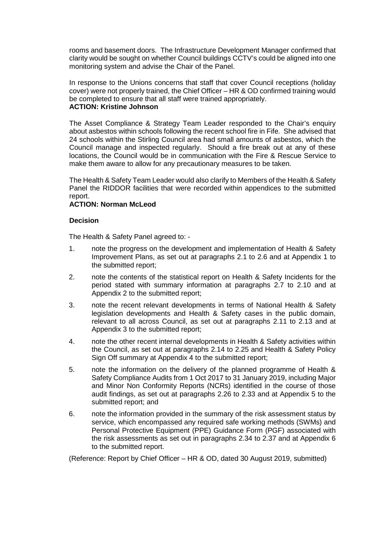rooms and basement doors. The Infrastructure Development Manager confirmed that clarity would be sought on whether Council buildings CCTV's could be aligned into one monitoring system and advise the Chair of the Panel.

In response to the Unions concerns that staff that cover Council receptions (holiday cover) were not properly trained, the Chief Officer – HR & OD confirmed training would be completed to ensure that all staff were trained appropriately. **ACTION: Kristine Johnson**

# The Asset Compliance & Strategy Team Leader responded to the Chair's enquiry about asbestos within schools following the recent school fire in Fife. She advised that 24 schools within the Stirling Council area had small amounts of asbestos, which the Council manage and inspected regularly. Should a fire break out at any of these locations, the Council would be in communication with the Fire & Rescue Service to

make them aware to allow for any precautionary measures to be taken.

The Health & Safety Team Leader would also clarify to Members of the Health & Safety Panel the RIDDOR facilities that were recorded within appendices to the submitted report.

## **ACTION: Norman McLeod**

## **Decision**

The Health & Safety Panel agreed to: -

- 1. note the progress on the development and implementation of Health & Safety Improvement Plans, as set out at paragraphs 2.1 to 2.6 and at Appendix 1 to the submitted report;
- 2. note the contents of the statistical report on Health & Safety Incidents for the period stated with summary information at paragraphs 2.7 to 2.10 and at Appendix 2 to the submitted report;
- 3. note the recent relevant developments in terms of National Health & Safety legislation developments and Health & Safety cases in the public domain, relevant to all across Council, as set out at paragraphs 2.11 to 2.13 and at Appendix 3 to the submitted report;
- 4. note the other recent internal developments in Health & Safety activities within the Council, as set out at paragraphs 2.14 to 2.25 and Health & Safety Policy Sign Off summary at Appendix 4 to the submitted report;
- 5. note the information on the delivery of the planned programme of Health & Safety Compliance Audits from 1 Oct 2017 to 31 January 2019, including Major and Minor Non Conformity Reports (NCRs) identified in the course of those audit findings, as set out at paragraphs 2.26 to 2.33 and at Appendix 5 to the submitted report; and
- 6. note the information provided in the summary of the risk assessment status by service, which encompassed any required safe working methods (SWMs) and Personal Protective Equipment (PPE) Guidance Form (PGF) associated with the risk assessments as set out in paragraphs 2.34 to 2.37 and at Appendix 6 to the submitted report.

(Reference: Report by Chief Officer – HR & OD, dated 30 August 2019, submitted)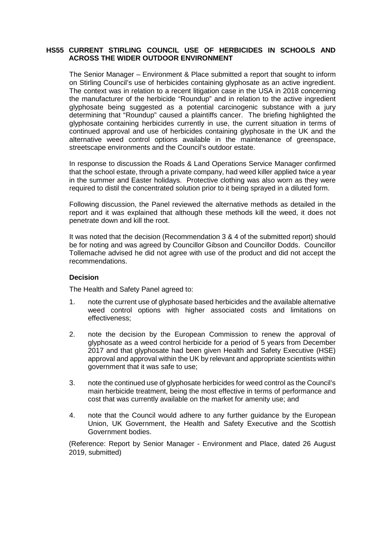## **HS55 CURRENT STIRLING COUNCIL USE OF HERBICIDES IN SCHOOLS AND ACROSS THE WIDER OUTDOOR ENVIRONMENT**

The Senior Manager – Environment & Place submitted a report that sought to inform on Stirling Council's use of herbicides containing glyphosate as an active ingredient. The context was in relation to a recent litigation case in the USA in 2018 concerning the manufacturer of the herbicide "Roundup" and in relation to the active ingredient glyphosate being suggested as a potential carcinogenic substance with a jury determining that "Roundup" caused a plaintiffs cancer. The briefing highlighted the glyphosate containing herbicides currently in use, the current situation in terms of continued approval and use of herbicides containing glyphosate in the UK and the alternative weed control options available in the maintenance of greenspace, streetscape environments and the Council's outdoor estate.

In response to discussion the Roads & Land Operations Service Manager confirmed that the school estate, through a private company, had weed killer applied twice a year in the summer and Easter holidays. Protective clothing was also worn as they were required to distil the concentrated solution prior to it being sprayed in a diluted form.

Following discussion, the Panel reviewed the alternative methods as detailed in the report and it was explained that although these methods kill the weed, it does not penetrate down and kill the root.

It was noted that the decision (Recommendation 3 & 4 of the submitted report) should be for noting and was agreed by Councillor Gibson and Councillor Dodds. Councillor Tollemache advised he did not agree with use of the product and did not accept the recommendations.

# **Decision**

The Health and Safety Panel agreed to:

- 1. note the current use of glyphosate based herbicides and the available alternative weed control options with higher associated costs and limitations on effectiveness;
- 2. note the decision by the European Commission to renew the approval of glyphosate as a weed control herbicide for a period of 5 years from December 2017 and that glyphosate had been given Health and Safety Executive (HSE) approval and approval within the UK by relevant and appropriate scientists within government that it was safe to use;
- 3. note the continued use of glyphosate herbicides for weed control as the Council's main herbicide treatment, being the most effective in terms of performance and cost that was currently available on the market for amenity use; and
- 4. note that the Council would adhere to any further guidance by the European Union, UK Government, the Health and Safety Executive and the Scottish Government bodies.

(Reference: Report by Senior Manager - Environment and Place, dated 26 August 2019, submitted)